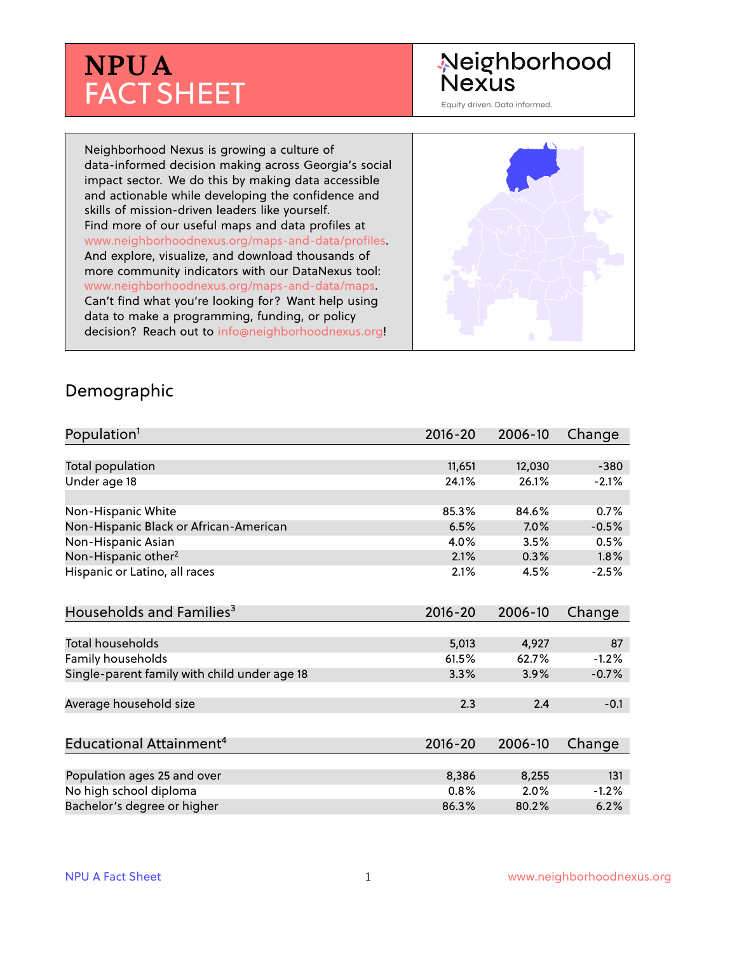# **NPUA** FACT SHEET

## Neighborhood **Nexus**

Equity driven. Data informed.

Neighborhood Nexus is growing a culture of data-informed decision making across Georgia's social impact sector. We do this by making data accessible and actionable while developing the confidence and skills of mission-driven leaders like yourself. Find more of our useful maps and data profiles at www.neighborhoodnexus.org/maps-and-data/profiles. And explore, visualize, and download thousands of more community indicators with our DataNexus tool: www.neighborhoodnexus.org/maps-and-data/maps. Can't find what you're looking for? Want help using data to make a programming, funding, or policy decision? Reach out to [info@neighborhoodnexus.org!](mailto:info@neighborhoodnexus.org)



#### Demographic

| Population <sup>1</sup>                      | $2016 - 20$ | 2006-10 | Change  |
|----------------------------------------------|-------------|---------|---------|
|                                              |             |         |         |
| Total population                             | 11,651      | 12,030  | $-380$  |
| Under age 18                                 | 24.1%       | 26.1%   | $-2.1%$ |
|                                              |             |         |         |
| Non-Hispanic White                           | 85.3%       | 84.6%   | 0.7%    |
| Non-Hispanic Black or African-American       | 6.5%        | 7.0%    | $-0.5%$ |
| Non-Hispanic Asian                           | 4.0%        | 3.5%    | 0.5%    |
| Non-Hispanic other <sup>2</sup>              | 2.1%        | 0.3%    | 1.8%    |
| Hispanic or Latino, all races                | 2.1%        | 4.5%    | $-2.5%$ |
| Households and Families <sup>3</sup>         | $2016 - 20$ | 2006-10 | Change  |
|                                              |             |         |         |
| <b>Total households</b>                      | 5,013       | 4,927   | 87      |
| Family households                            | 61.5%       | 62.7%   | $-1.2%$ |
| Single-parent family with child under age 18 | 3.3%        | 3.9%    | $-0.7%$ |
| Average household size                       | 2.3         | 2.4     | $-0.1$  |
|                                              |             |         |         |
| Educational Attainment <sup>4</sup>          | $2016 - 20$ | 2006-10 | Change  |
|                                              |             |         |         |
| Population ages 25 and over                  | 8,386       | 8,255   | 131     |
| No high school diploma                       | 0.8%        | 2.0%    | $-1.2%$ |
| Bachelor's degree or higher                  | 86.3%       | 80.2%   | 6.2%    |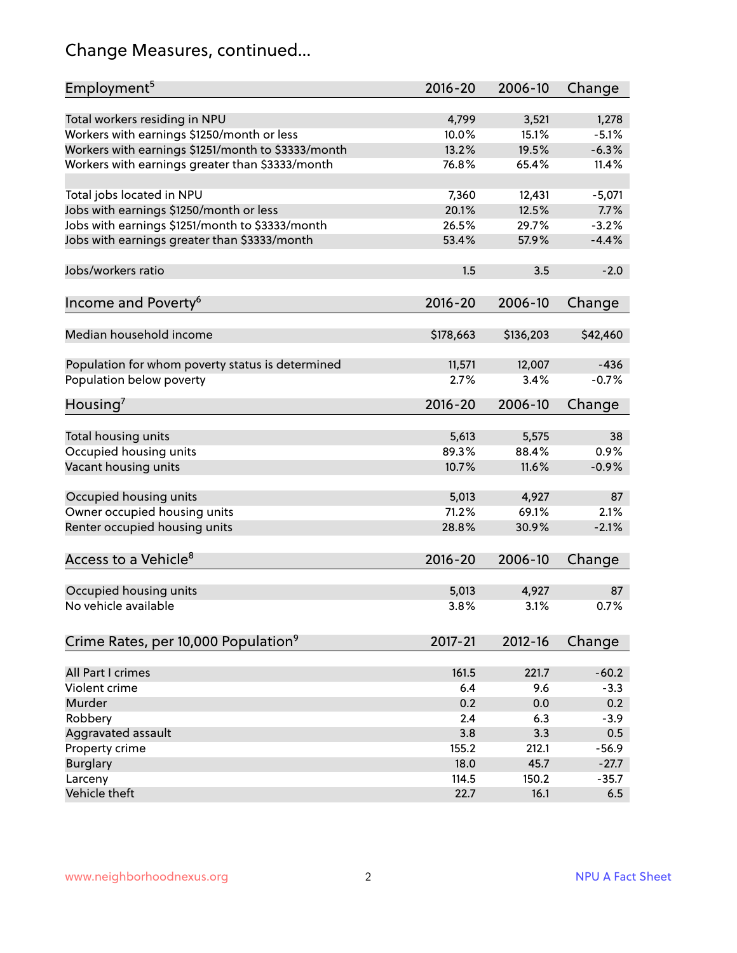## Change Measures, continued...

| Employment <sup>5</sup>                            | $2016 - 20$ | 2006-10   | Change   |
|----------------------------------------------------|-------------|-----------|----------|
|                                                    |             |           |          |
| Total workers residing in NPU                      | 4,799       | 3,521     | 1,278    |
| Workers with earnings \$1250/month or less         | 10.0%       | 15.1%     | $-5.1%$  |
| Workers with earnings \$1251/month to \$3333/month | 13.2%       | 19.5%     | $-6.3%$  |
| Workers with earnings greater than \$3333/month    | 76.8%       | 65.4%     | 11.4%    |
| Total jobs located in NPU                          | 7,360       | 12,431    | $-5,071$ |
| Jobs with earnings \$1250/month or less            | 20.1%       | 12.5%     | 7.7%     |
| Jobs with earnings \$1251/month to \$3333/month    | 26.5%       | 29.7%     | $-3.2%$  |
| Jobs with earnings greater than \$3333/month       | 53.4%       | 57.9%     | $-4.4%$  |
|                                                    |             |           |          |
| Jobs/workers ratio                                 | 1.5         | 3.5       | $-2.0$   |
| Income and Poverty <sup>6</sup>                    | $2016 - 20$ | 2006-10   | Change   |
|                                                    |             |           |          |
| Median household income                            | \$178,663   | \$136,203 | \$42,460 |
|                                                    |             |           |          |
| Population for whom poverty status is determined   | 11,571      | 12,007    | $-436$   |
| Population below poverty                           | 2.7%        | 3.4%      | $-0.7%$  |
| Housing <sup>7</sup>                               | 2016-20     | 2006-10   | Change   |
|                                                    |             |           |          |
| Total housing units                                | 5,613       | 5,575     | 38       |
| Occupied housing units                             | 89.3%       | 88.4%     | 0.9%     |
| Vacant housing units                               | 10.7%       | 11.6%     | $-0.9%$  |
| Occupied housing units                             | 5,013       | 4,927     | 87       |
|                                                    | 71.2%       | 69.1%     | 2.1%     |
| Owner occupied housing units                       |             |           |          |
| Renter occupied housing units                      | 28.8%       | 30.9%     | $-2.1%$  |
| Access to a Vehicle <sup>8</sup>                   | $2016 - 20$ | 2006-10   | Change   |
|                                                    |             |           |          |
| Occupied housing units                             | 5,013       | 4,927     | 87       |
| No vehicle available                               | 3.8%        | 3.1%      | 0.7%     |
|                                                    |             |           |          |
| Crime Rates, per 10,000 Population <sup>9</sup>    | 2017-21     | 2012-16   | Change   |
|                                                    |             |           |          |
| All Part I crimes                                  | 161.5       | 221.7     | $-60.2$  |
| Violent crime                                      | 6.4         | 9.6       | $-3.3$   |
| Murder                                             | 0.2         | 0.0       | 0.2      |
| Robbery                                            | 2.4         | 6.3       | $-3.9$   |
| Aggravated assault                                 | 3.8         | 3.3       | 0.5      |
| Property crime                                     | 155.2       | 212.1     | $-56.9$  |
| <b>Burglary</b>                                    | 18.0        | 45.7      | $-27.7$  |
| Larceny                                            | 114.5       | 150.2     | $-35.7$  |
| Vehicle theft                                      | 22.7        | 16.1      | 6.5      |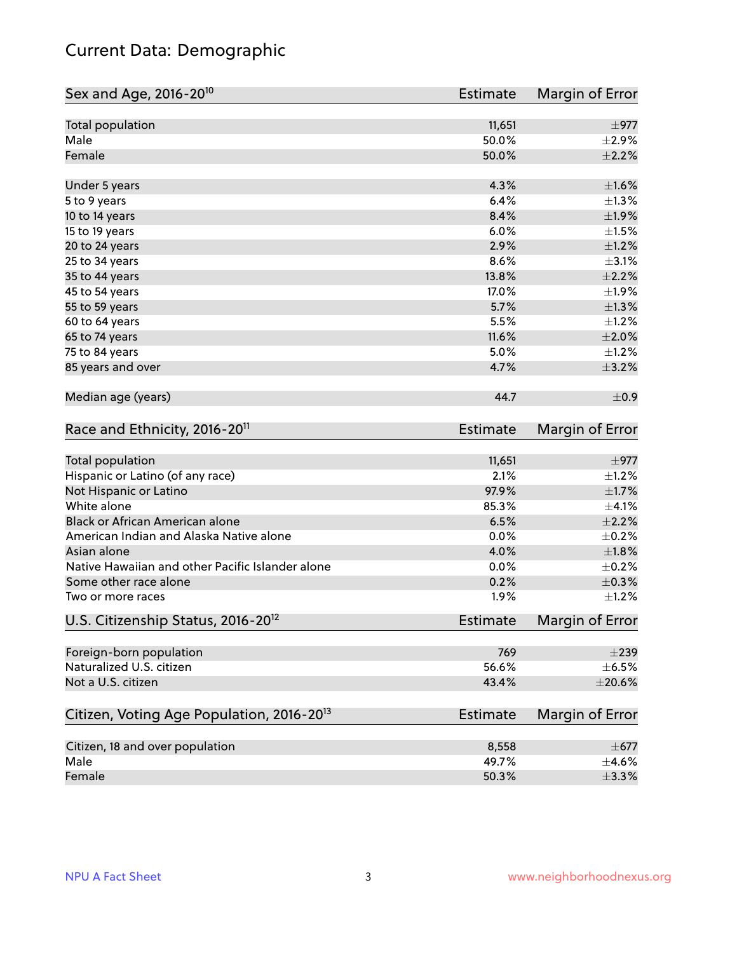## Current Data: Demographic

| Sex and Age, 2016-20 <sup>10</sup>                    | <b>Estimate</b> | Margin of Error |
|-------------------------------------------------------|-----------------|-----------------|
| Total population                                      | 11,651          | $\pm$ 977       |
| Male                                                  | 50.0%           | $\pm 2.9\%$     |
| Female                                                | 50.0%           | $\pm 2.2\%$     |
| Under 5 years                                         | 4.3%            | $\pm1.6\%$      |
| 5 to 9 years                                          | 6.4%            | $\pm 1.3\%$     |
| 10 to 14 years                                        | 8.4%            | $\pm 1.9\%$     |
| 15 to 19 years                                        | 6.0%            | $\pm 1.5\%$     |
| 20 to 24 years                                        | 2.9%            | $\pm 1.2\%$     |
| 25 to 34 years                                        | 8.6%            | $\pm$ 3.1%      |
| 35 to 44 years                                        | 13.8%           | $\pm 2.2\%$     |
| 45 to 54 years                                        | 17.0%           | ±1.9%           |
| 55 to 59 years                                        | 5.7%            | $\pm 1.3\%$     |
| 60 to 64 years                                        | 5.5%            | $\pm 1.2\%$     |
| 65 to 74 years                                        | 11.6%           | $\pm 2.0\%$     |
| 75 to 84 years                                        | 5.0%            | $\pm$ 1.2%      |
| 85 years and over                                     | 4.7%            | $\pm$ 3.2%      |
| Median age (years)                                    | 44.7            | $\pm$ 0.9       |
| Race and Ethnicity, 2016-20 <sup>11</sup>             | <b>Estimate</b> | Margin of Error |
| <b>Total population</b>                               | 11,651          | $\pm$ 977       |
| Hispanic or Latino (of any race)                      | 2.1%            | $\pm 1.2\%$     |
| Not Hispanic or Latino                                | 97.9%           | $\pm1.7\%$      |
| White alone                                           | 85.3%           | $\pm 4.1\%$     |
| Black or African American alone                       | 6.5%            | $\pm 2.2\%$     |
| American Indian and Alaska Native alone               | 0.0%            | $\pm$ 0.2%      |
| Asian alone                                           | 4.0%            | $\pm1.8\%$      |
| Native Hawaiian and other Pacific Islander alone      | 0.0%            | $\pm$ 0.2%      |
| Some other race alone                                 | 0.2%            | $\pm$ 0.3%      |
| Two or more races                                     | 1.9%            | $\pm 1.2\%$     |
| U.S. Citizenship Status, 2016-20 <sup>12</sup>        | <b>Estimate</b> | Margin of Error |
| Foreign-born population                               | 769             | $\pm 239$       |
| Naturalized U.S. citizen                              | 56.6%           | $\pm$ 6.5%      |
| Not a U.S. citizen                                    | 43.4%           | $\pm 20.6\%$    |
| Citizen, Voting Age Population, 2016-20 <sup>13</sup> | Estimate        | Margin of Error |
| Citizen, 18 and over population                       | 8,558           | $\pm$ 677       |
| Male                                                  | 49.7%           | $\pm$ 4.6%      |
| Female                                                | 50.3%           | ±3.3%           |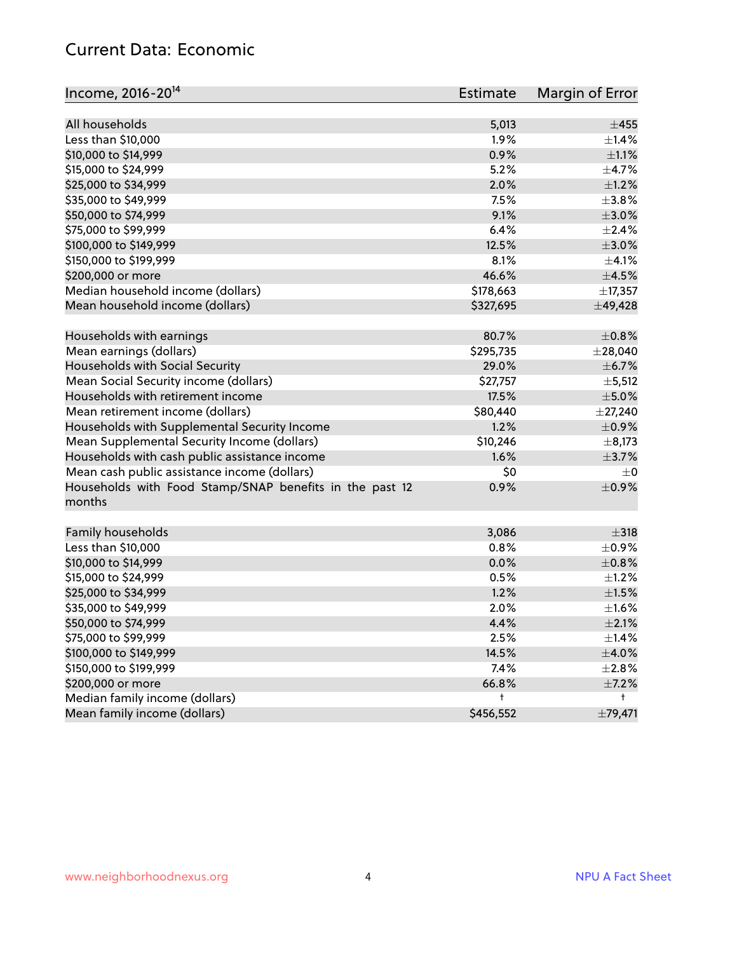#### Current Data: Economic

| Income, 2016-20 <sup>14</sup>                                     | <b>Estimate</b> | Margin of Error         |
|-------------------------------------------------------------------|-----------------|-------------------------|
| All households                                                    | 5,013           | $\pm 455$               |
| Less than \$10,000                                                | 1.9%            | $\pm$ 1.4%              |
| \$10,000 to \$14,999                                              | 0.9%            | $\pm 1.1\%$             |
| \$15,000 to \$24,999                                              | 5.2%            | $\pm$ 4.7%              |
| \$25,000 to \$34,999                                              | 2.0%            | $\pm 1.2\%$             |
|                                                                   |                 | $\pm$ 3.8%              |
| \$35,000 to \$49,999                                              | 7.5%            |                         |
| \$50,000 to \$74,999                                              | 9.1%            | $\pm 3.0\%$             |
| \$75,000 to \$99,999                                              | 6.4%            | $\pm 2.4\%$             |
| \$100,000 to \$149,999                                            | 12.5%           | $\pm 3.0\%$             |
| \$150,000 to \$199,999                                            | 8.1%            | $\pm 4.1\%$             |
| \$200,000 or more                                                 | 46.6%           | $\pm$ 4.5%              |
| Median household income (dollars)                                 | \$178,663       | ±17,357                 |
| Mean household income (dollars)                                   | \$327,695       | ±49,428                 |
| Households with earnings                                          | 80.7%           | $\pm$ 0.8%              |
| Mean earnings (dollars)                                           | \$295,735       | $±$ 28,040              |
| Households with Social Security                                   | 29.0%           | $\pm$ 6.7%              |
| Mean Social Security income (dollars)                             | \$27,757        | $\pm$ 5,512             |
| Households with retirement income                                 | 17.5%           | $\pm$ 5.0%              |
| Mean retirement income (dollars)                                  | \$80,440        | $\pm$ 27,240            |
| Households with Supplemental Security Income                      | 1.2%            | $\pm$ 0.9%              |
| Mean Supplemental Security Income (dollars)                       | \$10,246        | $\pm$ 8,173             |
| Households with cash public assistance income                     | 1.6%            | $\pm$ 3.7%              |
| Mean cash public assistance income (dollars)                      | \$0             | $\pm 0$                 |
| Households with Food Stamp/SNAP benefits in the past 12<br>months | 0.9%            | $\pm$ 0.9%              |
|                                                                   |                 |                         |
| Family households                                                 | 3,086<br>0.8%   | $\pm$ 318<br>$\pm$ 0.9% |
| Less than \$10,000                                                |                 |                         |
| \$10,000 to \$14,999                                              | 0.0%            | $\pm$ 0.8%              |
| \$15,000 to \$24,999                                              | 0.5%            | $\pm 1.2\%$             |
| \$25,000 to \$34,999                                              | 1.2%            | $\pm 1.5\%$             |
| \$35,000 to \$49,999                                              | 2.0%            | $\pm 1.6\%$             |
| \$50,000 to \$74,999                                              | 4.4%            | $\pm 2.1\%$             |
| \$75,000 to \$99,999                                              | 2.5%            | $\pm$ 1.4%              |
| \$100,000 to \$149,999                                            | 14.5%           | $\pm$ 4.0%              |
| \$150,000 to \$199,999                                            | 7.4%            | $\pm 2.8\%$             |
| \$200,000 or more                                                 | 66.8%           | $\pm$ 7.2%              |
| Median family income (dollars)                                    | t               | t.                      |
| Mean family income (dollars)                                      | \$456,552       | ±79,471                 |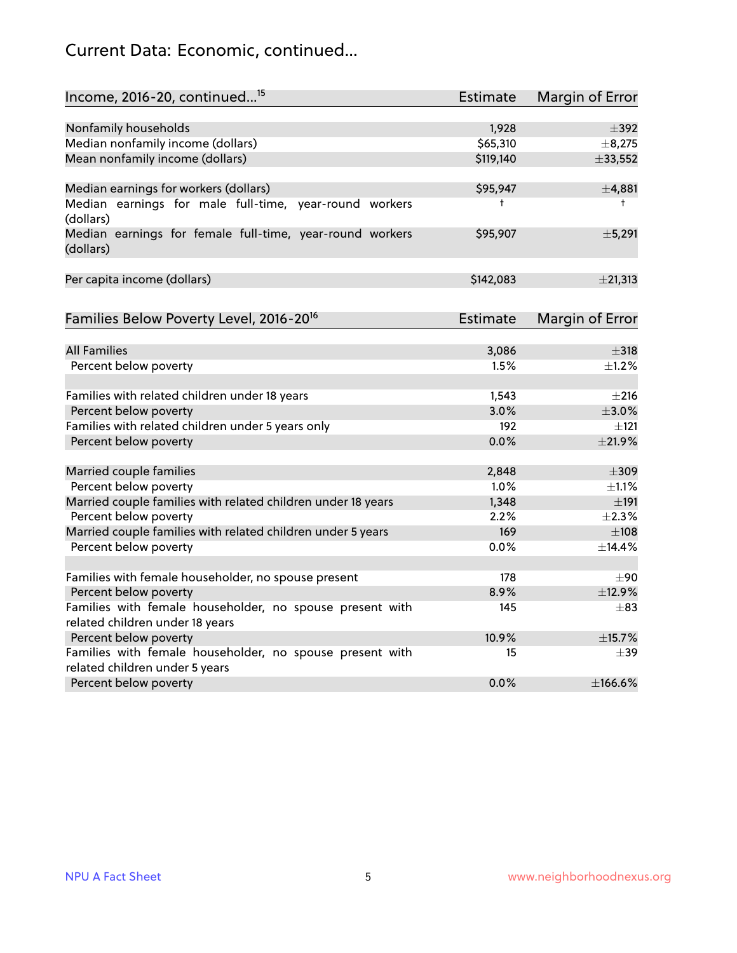## Current Data: Economic, continued...

| Income, 2016-20, continued <sup>15</sup>                     | <b>Estimate</b> | Margin of Error        |
|--------------------------------------------------------------|-----------------|------------------------|
|                                                              |                 |                        |
| Nonfamily households                                         | 1,928           | $\pm$ 392              |
| Median nonfamily income (dollars)                            | \$65,310        | ±8,275                 |
| Mean nonfamily income (dollars)                              | \$119,140       | ±33,552                |
| Median earnings for workers (dollars)                        | \$95,947        | ±4,881                 |
| Median earnings for male full-time, year-round workers       | $\ddagger$      | $\ddagger$             |
| (dollars)                                                    |                 |                        |
| Median earnings for female full-time, year-round workers     | \$95,907        | ±5,291                 |
| (dollars)                                                    |                 |                        |
| Per capita income (dollars)                                  | \$142,083       | ±21,313                |
|                                                              |                 |                        |
| Families Below Poverty Level, 2016-20 <sup>16</sup>          | <b>Estimate</b> | <b>Margin of Error</b> |
|                                                              |                 |                        |
| <b>All Families</b>                                          | 3,086           | $\pm$ 318              |
| Percent below poverty                                        | 1.5%            | $\pm$ 1.2%             |
| Families with related children under 18 years                | 1,543           | $\pm 216$              |
| Percent below poverty                                        | 3.0%            | $\pm 3.0\%$            |
| Families with related children under 5 years only            | 192             | $\pm$ 121              |
| Percent below poverty                                        | 0.0%            | ±21.9%                 |
| Married couple families                                      | 2,848           | $\pm$ 309              |
| Percent below poverty                                        | 1.0%            | $\pm 1.1\%$            |
| Married couple families with related children under 18 years | 1,348           | $\pm$ 191              |
| Percent below poverty                                        | 2.2%            | $\pm 2.3\%$            |
| Married couple families with related children under 5 years  | 169             | $\pm$ 108              |
| Percent below poverty                                        | 0.0%            | ±14.4%                 |
|                                                              |                 |                        |
| Families with female householder, no spouse present          | 178             | ±90                    |
| Percent below poverty                                        | 8.9%            | ±12.9%                 |
| Families with female householder, no spouse present with     | 145             | $\pm$ 83               |
| related children under 18 years                              |                 |                        |
| Percent below poverty                                        | 10.9%           | ±15.7%                 |
| Families with female householder, no spouse present with     | 15              | $\pm$ 39               |
| related children under 5 years                               | 0.0%            | ±166.6%                |
| Percent below poverty                                        |                 |                        |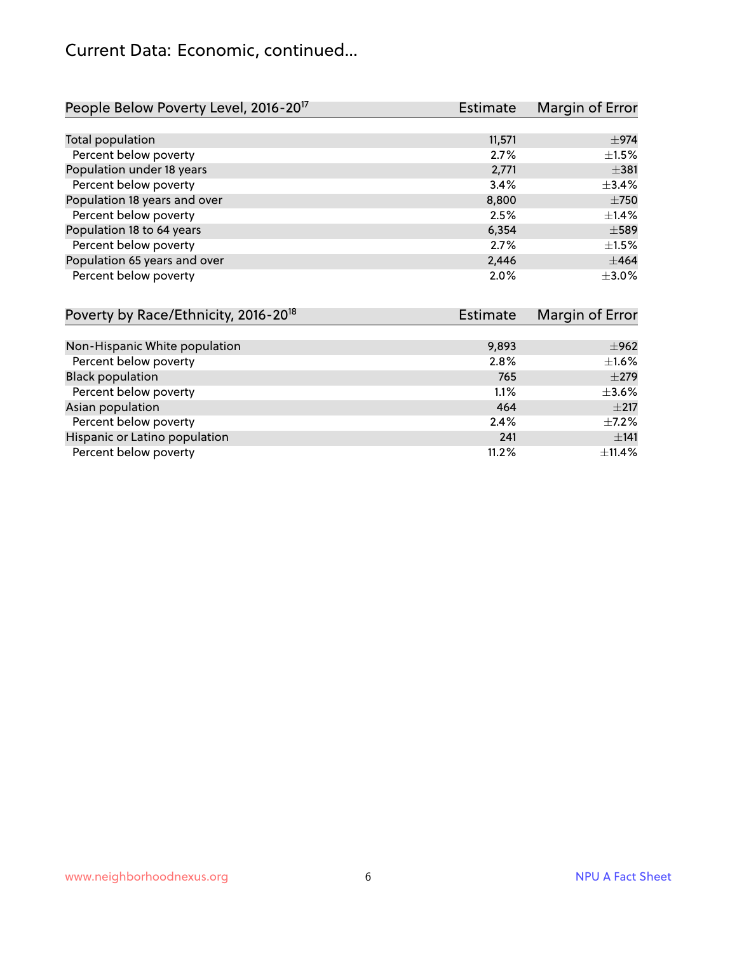## Current Data: Economic, continued...

| People Below Poverty Level, 2016-20 <sup>17</sup> | <b>Estimate</b> | Margin of Error |
|---------------------------------------------------|-----------------|-----------------|
|                                                   |                 |                 |
| Total population                                  | 11,571          | $\pm$ 974       |
| Percent below poverty                             | 2.7%            | $\pm 1.5\%$     |
| Population under 18 years                         | 2,771           | $\pm$ 381       |
| Percent below poverty                             | 3.4%            | $\pm$ 3.4%      |
| Population 18 years and over                      | 8,800           | $\pm 750$       |
| Percent below poverty                             | 2.5%            | $\pm$ 1.4%      |
| Population 18 to 64 years                         | 6,354           | $\pm$ 589       |
| Percent below poverty                             | 2.7%            | ±1.5%           |
| Population 65 years and over                      | 2,446           | ±464            |
| Percent below poverty                             | 2.0%            | $\pm 3.0\%$     |

| Poverty by Race/Ethnicity, 2016-20 <sup>18</sup> | <b>Estimate</b> | Margin of Error |
|--------------------------------------------------|-----------------|-----------------|
|                                                  |                 |                 |
| Non-Hispanic White population                    | 9,893           | ±962            |
| Percent below poverty                            | 2.8%            | ±1.6%           |
| <b>Black population</b>                          | 765             | $\pm 279$       |
| Percent below poverty                            | 1.1%            | $\pm 3.6\%$     |
| Asian population                                 | 464             | $\pm 217$       |
| Percent below poverty                            | 2.4%            | $\pm$ 7.2%      |
| Hispanic or Latino population                    | 241             | ±141            |
| Percent below poverty                            | 11.2%           | $\pm$ 11.4%     |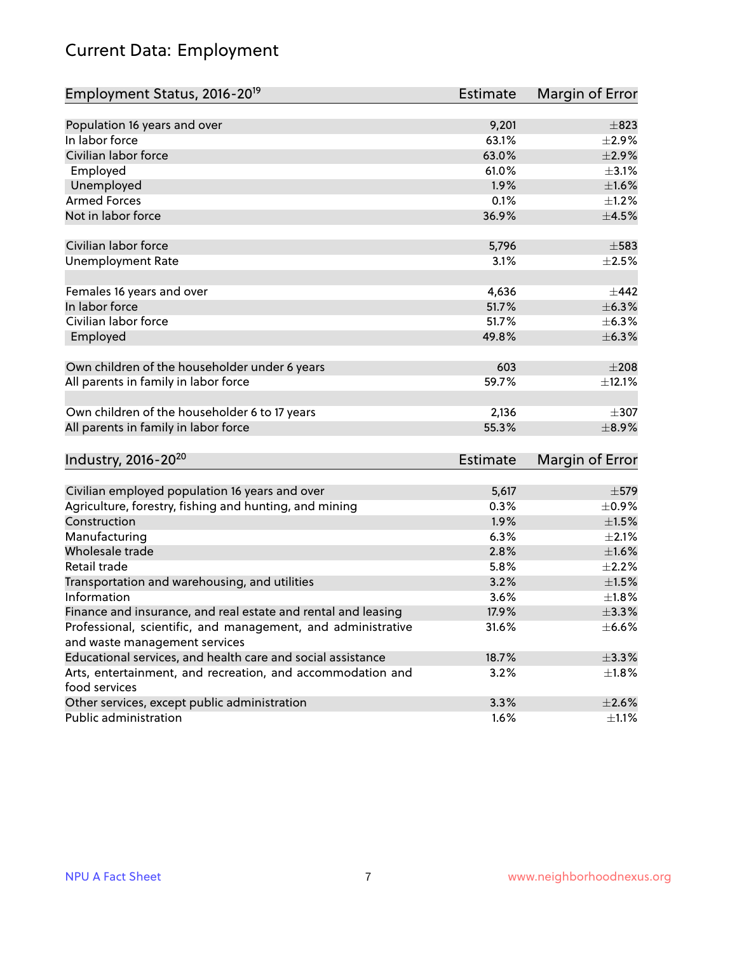## Current Data: Employment

| Employment Status, 2016-20 <sup>19</sup>                      | <b>Estimate</b> | Margin of Error |
|---------------------------------------------------------------|-----------------|-----------------|
|                                                               |                 |                 |
| Population 16 years and over                                  | 9,201           | $\pm$ 823       |
| In labor force                                                | 63.1%           | $\pm 2.9\%$     |
| Civilian labor force                                          | 63.0%           | $\pm 2.9\%$     |
| Employed                                                      | 61.0%           | $\pm$ 3.1%      |
| Unemployed                                                    | 1.9%            | $\pm1.6\%$      |
| <b>Armed Forces</b>                                           | 0.1%            | $\pm 1.2\%$     |
| Not in labor force                                            | 36.9%           | $\pm$ 4.5%      |
|                                                               |                 |                 |
| Civilian labor force                                          | 5,796           | $\pm$ 583       |
| <b>Unemployment Rate</b>                                      | 3.1%            | $\pm 2.5\%$     |
|                                                               |                 |                 |
| Females 16 years and over                                     | 4,636           | ±442            |
| In labor force                                                | 51.7%           | ±6.3%           |
| Civilian labor force                                          | 51.7%           | $\pm$ 6.3%      |
| Employed                                                      | 49.8%           | $\pm$ 6.3%      |
| Own children of the householder under 6 years                 | 603             | $\pm 208$       |
| All parents in family in labor force                          | 59.7%           | ±12.1%          |
|                                                               |                 |                 |
| Own children of the householder 6 to 17 years                 | 2,136           | $\pm$ 307       |
| All parents in family in labor force                          | 55.3%           | $\pm$ 8.9%      |
|                                                               |                 |                 |
| Industry, 2016-20 <sup>20</sup>                               | Estimate        | Margin of Error |
|                                                               |                 |                 |
| Civilian employed population 16 years and over                | 5,617           | $\pm$ 579       |
| Agriculture, forestry, fishing and hunting, and mining        | 0.3%            | $\pm$ 0.9%      |
| Construction                                                  | 1.9%            | $\pm 1.5\%$     |
| Manufacturing                                                 | 6.3%            | $\pm 2.1\%$     |
| Wholesale trade                                               | 2.8%            | ±1.6%           |
| Retail trade                                                  | 5.8%            | $\pm 2.2\%$     |
| Transportation and warehousing, and utilities                 | 3.2%            | $\pm 1.5\%$     |
| Information                                                   | 3.6%            | ±1.8%           |
| Finance and insurance, and real estate and rental and leasing | 17.9%           | $\pm$ 3.3%      |
| Professional, scientific, and management, and administrative  | 31.6%           | $\pm$ 6.6%      |
| and waste management services                                 |                 |                 |
| Educational services, and health care and social assistance   | 18.7%           | ±3.3%           |
| Arts, entertainment, and recreation, and accommodation and    | 3.2%            | $\pm 1.8\%$     |
| food services                                                 |                 |                 |
| Other services, except public administration                  | 3.3%            | $\pm 2.6\%$     |
| Public administration                                         | 1.6%            | $\pm 1.1\%$     |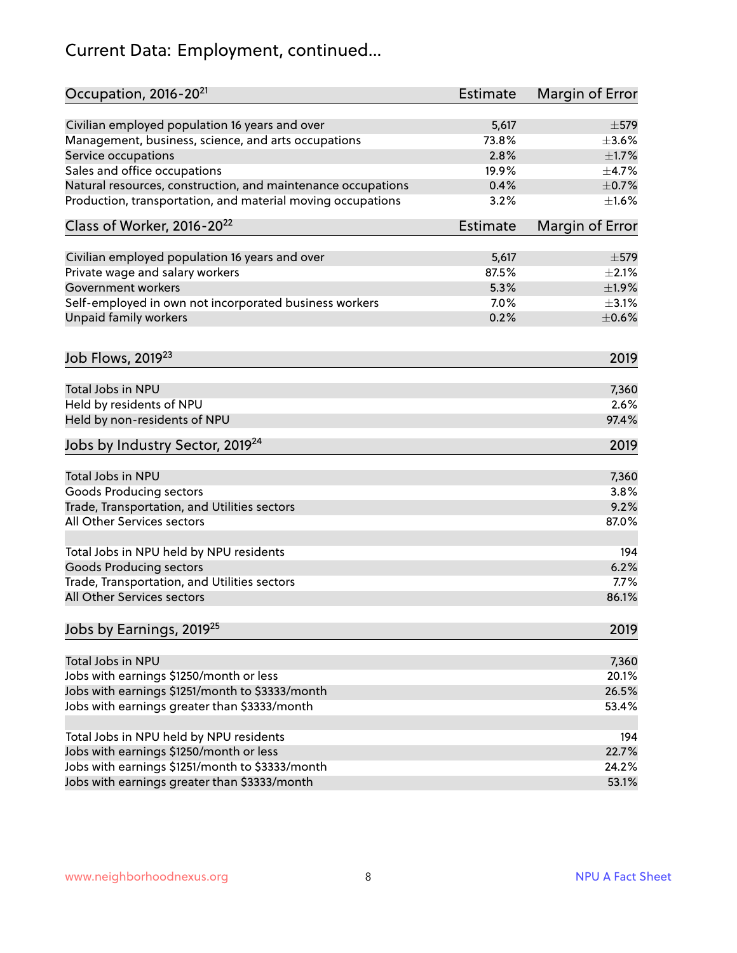## Current Data: Employment, continued...

| Occupation, 2016-20 <sup>21</sup>                            | <b>Estimate</b> | Margin of Error |
|--------------------------------------------------------------|-----------------|-----------------|
| Civilian employed population 16 years and over               | 5,617           | $\pm$ 579       |
| Management, business, science, and arts occupations          | 73.8%           | $\pm 3.6\%$     |
| Service occupations                                          | 2.8%            | $\pm 1.7\%$     |
| Sales and office occupations                                 | 19.9%           | $\pm$ 4.7%      |
| Natural resources, construction, and maintenance occupations | 0.4%            | $\pm$ 0.7%      |
| Production, transportation, and material moving occupations  | 3.2%            | $\pm 1.6\%$     |
| Class of Worker, 2016-20 <sup>22</sup>                       | <b>Estimate</b> | Margin of Error |
| Civilian employed population 16 years and over               | 5,617           | $\pm$ 579       |
| Private wage and salary workers                              | 87.5%           | $\pm 2.1\%$     |
| Government workers                                           | 5.3%            | ±1.9%           |
| Self-employed in own not incorporated business workers       | 7.0%            | $\pm$ 3.1%      |
| Unpaid family workers                                        | 0.2%            | $\pm$ 0.6%      |
|                                                              |                 |                 |
| Job Flows, 2019 <sup>23</sup>                                |                 | 2019            |
| Total Jobs in NPU                                            |                 | 7,360           |
| Held by residents of NPU                                     |                 | 2.6%            |
| Held by non-residents of NPU                                 |                 | 97.4%           |
| Jobs by Industry Sector, 2019 <sup>24</sup>                  |                 | 2019            |
| Total Jobs in NPU                                            |                 | 7,360           |
| <b>Goods Producing sectors</b>                               |                 | 3.8%            |
| Trade, Transportation, and Utilities sectors                 |                 | 9.2%            |
| All Other Services sectors                                   |                 | 87.0%           |
| Total Jobs in NPU held by NPU residents                      |                 | 194             |
| <b>Goods Producing sectors</b>                               |                 | 6.2%            |
| Trade, Transportation, and Utilities sectors                 |                 | 7.7%            |
| All Other Services sectors                                   |                 | 86.1%           |
| Jobs by Earnings, 2019 <sup>25</sup>                         |                 | 2019            |
|                                                              |                 |                 |
| Total Jobs in NPU                                            |                 | 7,360           |
| Jobs with earnings \$1250/month or less                      |                 | 20.1%           |
| Jobs with earnings \$1251/month to \$3333/month              |                 | 26.5%           |
| Jobs with earnings greater than \$3333/month                 |                 | 53.4%           |
| Total Jobs in NPU held by NPU residents                      |                 | 194             |
| Jobs with earnings \$1250/month or less                      |                 | 22.7%           |
| Jobs with earnings \$1251/month to \$3333/month              |                 | 24.2%           |
| Jobs with earnings greater than \$3333/month                 |                 | 53.1%           |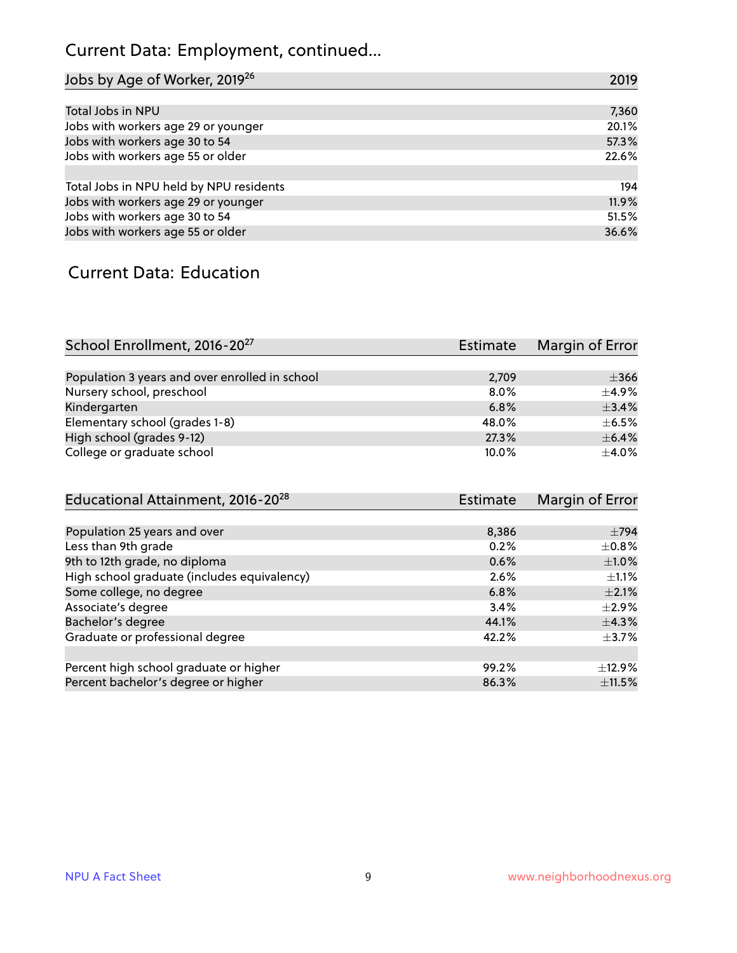## Current Data: Employment, continued...

| Jobs by Age of Worker, 2019 <sup>26</sup> | 2019  |
|-------------------------------------------|-------|
|                                           |       |
| Total Jobs in NPU                         | 7,360 |
| Jobs with workers age 29 or younger       | 20.1% |
| Jobs with workers age 30 to 54            | 57.3% |
| Jobs with workers age 55 or older         | 22.6% |
|                                           |       |
| Total Jobs in NPU held by NPU residents   | 194   |
| Jobs with workers age 29 or younger       | 11.9% |
| Jobs with workers age 30 to 54            | 51.5% |
| Jobs with workers age 55 or older         | 36.6% |

#### Current Data: Education

| School Enrollment, 2016-20 <sup>27</sup>       | Estimate | Margin of Error |
|------------------------------------------------|----------|-----------------|
|                                                |          |                 |
| Population 3 years and over enrolled in school | 2,709    | $\pm$ 366       |
| Nursery school, preschool                      | $8.0\%$  | $\pm$ 4.9%      |
| Kindergarten                                   | 6.8%     | $+3.4%$         |
| Elementary school (grades 1-8)                 | 48.0%    | $\pm$ 6.5%      |
| High school (grades 9-12)                      | 27.3%    | $+6.4%$         |
| College or graduate school                     | 10.0%    | $\pm$ 4.0%      |

| Educational Attainment, 2016-20 <sup>28</sup> | Estimate | Margin of Error |
|-----------------------------------------------|----------|-----------------|
|                                               |          |                 |
| Population 25 years and over                  | 8,386    | $\pm 794$       |
| Less than 9th grade                           | 0.2%     | $\pm$ 0.8%      |
| 9th to 12th grade, no diploma                 | 0.6%     | $\pm1.0\%$      |
| High school graduate (includes equivalency)   | 2.6%     | ±1.1%           |
| Some college, no degree                       | 6.8%     | $\pm 2.1\%$     |
| Associate's degree                            | 3.4%     | $\pm$ 2.9%      |
| Bachelor's degree                             | 44.1%    | $\pm$ 4.3%      |
| Graduate or professional degree               | 42.2%    | $\pm$ 3.7%      |
|                                               |          |                 |
| Percent high school graduate or higher        | 99.2%    | $\pm$ 12.9%     |
| Percent bachelor's degree or higher           | 86.3%    | $\pm$ 11.5%     |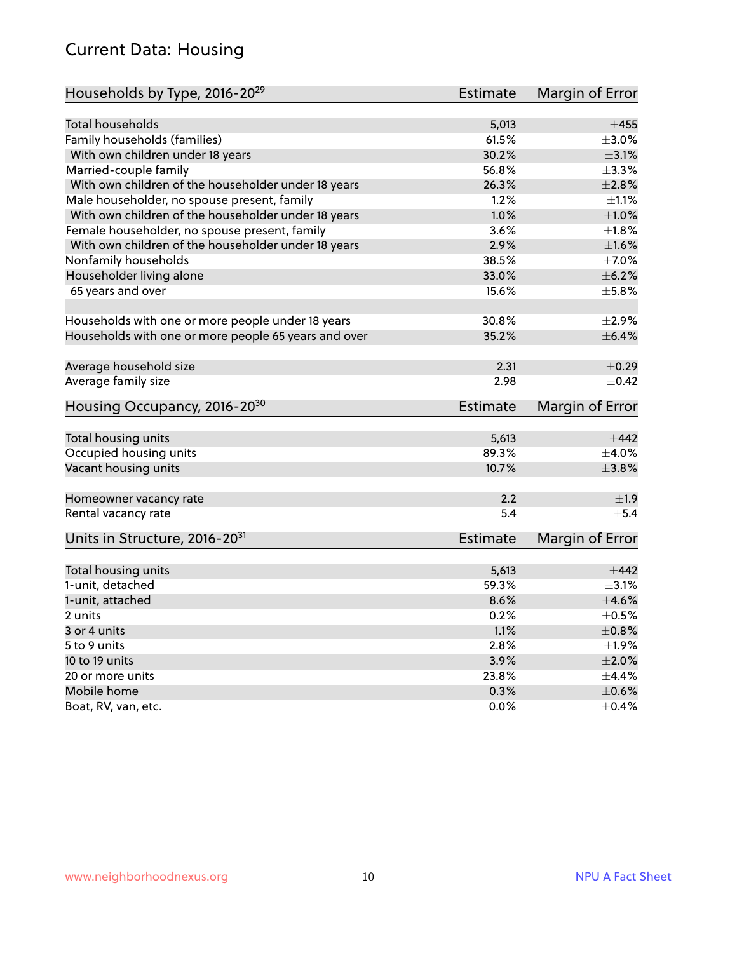#### Current Data: Housing

| Households by Type, 2016-20 <sup>29</sup>            | <b>Estimate</b> | Margin of Error |
|------------------------------------------------------|-----------------|-----------------|
|                                                      |                 |                 |
| Total households                                     | 5,013           | $\pm 455$       |
| Family households (families)                         | 61.5%           | $\pm 3.0\%$     |
| With own children under 18 years                     | 30.2%           | $\pm$ 3.1%      |
| Married-couple family                                | 56.8%           | ±3.3%           |
| With own children of the householder under 18 years  | 26.3%           | $\pm 2.8\%$     |
| Male householder, no spouse present, family          | 1.2%            | $\pm 1.1\%$     |
| With own children of the householder under 18 years  | 1.0%            | $\pm1.0\%$      |
| Female householder, no spouse present, family        | 3.6%            | $\pm 1.8\%$     |
| With own children of the householder under 18 years  | 2.9%            | $\pm1.6\%$      |
| Nonfamily households                                 | 38.5%           | $\pm$ 7.0%      |
| Householder living alone                             | 33.0%           | $\pm$ 6.2%      |
| 65 years and over                                    | 15.6%           | $\pm$ 5.8%      |
|                                                      |                 |                 |
| Households with one or more people under 18 years    | 30.8%           | $\pm 2.9\%$     |
| Households with one or more people 65 years and over | 35.2%           | $\pm$ 6.4%      |
| Average household size                               | 2.31            | $\pm$ 0.29      |
| Average family size                                  | 2.98            | $+0.42$         |
|                                                      |                 |                 |
| Housing Occupancy, 2016-20 <sup>30</sup>             | <b>Estimate</b> | Margin of Error |
| Total housing units                                  | 5,613           | $\pm$ 442       |
| Occupied housing units                               | 89.3%           | $\pm$ 4.0%      |
| Vacant housing units                                 | 10.7%           | $\pm$ 3.8%      |
|                                                      |                 |                 |
| Homeowner vacancy rate                               | 2.2             | ±1.9            |
| Rental vacancy rate                                  | 5.4             | $+5.4$          |
| Units in Structure, 2016-20 <sup>31</sup>            | <b>Estimate</b> | Margin of Error |
| Total housing units                                  | 5,613           | $\pm$ 442       |
| 1-unit, detached                                     | 59.3%           | $\pm$ 3.1%      |
| 1-unit, attached                                     | 8.6%            | $\pm 4.6\%$     |
|                                                      |                 | $\pm$ 0.5%      |
| 2 units                                              | 0.2%            |                 |
| 3 or 4 units                                         | 1.1%            | $\pm 0.8\%$     |
| 5 to 9 units                                         | 2.8%            | $\pm 1.9\%$     |
| 10 to 19 units                                       | 3.9%            | $\pm 2.0\%$     |
| 20 or more units                                     | 23.8%           | $\pm$ 4.4%      |
| Mobile home                                          | 0.3%            | $\pm$ 0.6%      |
| Boat, RV, van, etc.                                  | 0.0%            | $\pm$ 0.4%      |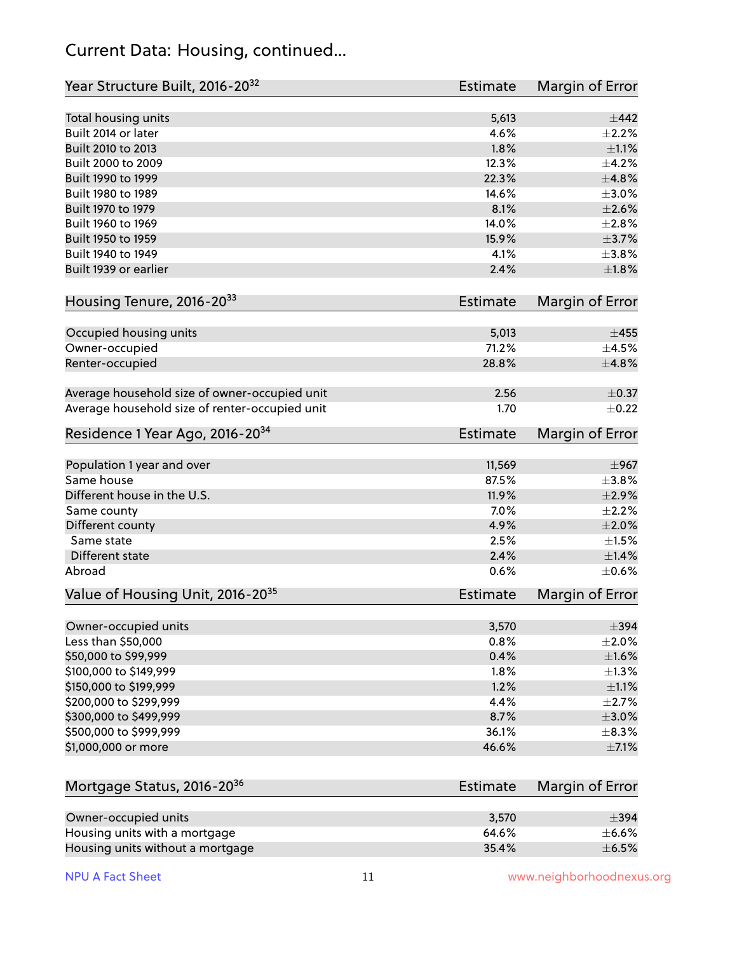#### Current Data: Housing, continued...

| Year Structure Built, 2016-20 <sup>32</sup>    | <b>Estimate</b> | Margin of Error |
|------------------------------------------------|-----------------|-----------------|
| Total housing units                            | 5,613           | $\pm$ 442       |
| Built 2014 or later                            | 4.6%            | $\pm 2.2\%$     |
| Built 2010 to 2013                             | 1.8%            | $\pm 1.1\%$     |
| Built 2000 to 2009                             | 12.3%           | ±4.2%           |
| Built 1990 to 1999                             | 22.3%           | ±4.8%           |
| Built 1980 to 1989                             | 14.6%           | $\pm 3.0\%$     |
| Built 1970 to 1979                             | 8.1%            | $\pm 2.6\%$     |
| Built 1960 to 1969                             | 14.0%           | ±2.8%           |
| Built 1950 to 1959                             | 15.9%           | $\pm$ 3.7%      |
| Built 1940 to 1949                             | 4.1%            | $\pm$ 3.8%      |
| Built 1939 or earlier                          | 2.4%            | $\pm 1.8\%$     |
|                                                |                 |                 |
| Housing Tenure, 2016-2033                      | Estimate        | Margin of Error |
| Occupied housing units                         | 5,013           | $\pm 455$       |
| Owner-occupied                                 | 71.2%           | $\pm$ 4.5%      |
| Renter-occupied                                | 28.8%           | ±4.8%           |
|                                                |                 |                 |
| Average household size of owner-occupied unit  | 2.56            | $\pm$ 0.37      |
| Average household size of renter-occupied unit | 1.70            | $\pm$ 0.22      |
| Residence 1 Year Ago, 2016-20 <sup>34</sup>    | Estimate        | Margin of Error |
|                                                |                 |                 |
| Population 1 year and over                     | 11,569          | $\pm$ 967       |
| Same house                                     | 87.5%           | $\pm$ 3.8%      |
| Different house in the U.S.                    | 11.9%           | $\pm 2.9\%$     |
| Same county                                    | 7.0%            | $\pm 2.2\%$     |
| Different county                               | 4.9%            | $\pm 2.0\%$     |
| Same state                                     | 2.5%            | $\pm 1.5\%$     |
| Different state                                | 2.4%            | ±1.4%           |
| Abroad                                         | 0.6%            | $\pm$ 0.6%      |
| Value of Housing Unit, 2016-20 <sup>35</sup>   | Estimate        | Margin of Error |
| Owner-occupied units                           | 3,570           | $\pm$ 394       |
| Less than \$50,000                             | 0.8%            | $\pm 2.0\%$     |
| \$50,000 to \$99,999                           | 0.4%            | $\pm 1.6\%$     |
| \$100,000 to \$149,999                         | 1.8%            | $\pm$ 1.3%      |
| \$150,000 to \$199,999                         | 1.2%            | $\pm 1.1\%$     |
| \$200,000 to \$299,999                         | 4.4%            | $\pm 2.7\%$     |
| \$300,000 to \$499,999                         | 8.7%            | $\pm 3.0\%$     |
| \$500,000 to \$999,999                         | 36.1%           | $\pm$ 8.3%      |
| \$1,000,000 or more                            | 46.6%           | $\pm$ 7.1%      |
|                                                |                 |                 |
| Mortgage Status, 2016-20 <sup>36</sup>         | <b>Estimate</b> | Margin of Error |
|                                                |                 |                 |
| Owner-occupied units                           | 3,570           | $\pm$ 394       |
| Housing units with a mortgage                  | 64.6%           | $\pm$ 6.6%      |
| Housing units without a mortgage               | 35.4%           | $\pm$ 6.5%      |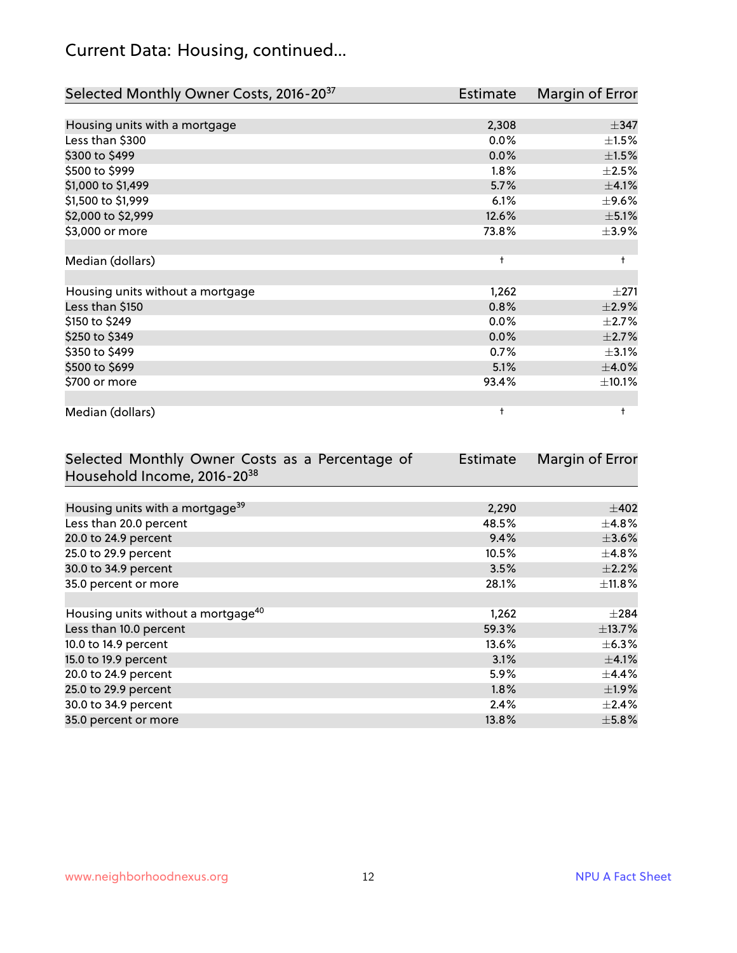## Current Data: Housing, continued...

| Selected Monthly Owner Costs, 2016-20 <sup>37</sup> | <b>Estimate</b> | Margin of Error |
|-----------------------------------------------------|-----------------|-----------------|
|                                                     |                 |                 |
| Housing units with a mortgage                       | 2,308           | $\pm$ 347       |
| Less than \$300                                     | 0.0%            | $\pm 1.5\%$     |
| \$300 to \$499                                      | 0.0%            | $\pm 1.5\%$     |
| \$500 to \$999                                      | $1.8\%$         | $\pm 2.5\%$     |
| \$1,000 to \$1,499                                  | 5.7%            | $\pm$ 4.1%      |
| \$1,500 to \$1,999                                  | 6.1%            | $\pm$ 9.6%      |
| \$2,000 to \$2,999                                  | 12.6%           | $\pm$ 5.1%      |
| \$3,000 or more                                     | 73.8%           | $\pm$ 3.9%      |
|                                                     |                 |                 |
| Median (dollars)                                    | $\ddagger$      | $\ddagger$      |
|                                                     |                 |                 |
| Housing units without a mortgage                    | 1,262           | $\pm 271$       |
| Less than \$150                                     | 0.8%            | $\pm 2.9\%$     |
| \$150 to \$249                                      | 0.0%            | $\pm 2.7\%$     |
| \$250 to \$349                                      | 0.0%            | $\pm 2.7\%$     |
| \$350 to \$499                                      | 0.7%            | $\pm$ 3.1%      |
| \$500 to \$699                                      | 5.1%            | $\pm$ 4.0%      |
| \$700 or more                                       | 93.4%           | ±10.1%          |
|                                                     |                 |                 |
| Median (dollars)                                    | t               | t               |

| Selected Monthly Owner Costs as a Percentage of | <b>Estimate</b> | Margin of Error |
|-------------------------------------------------|-----------------|-----------------|
| Household Income, 2016-20 <sup>38</sup>         |                 |                 |
|                                                 |                 |                 |
| Housing units with a mortgage <sup>39</sup>     | 2,290           | $\pm$ 402       |
| Less than 20.0 percent                          | 48.5%           | $\pm$ 4.8%      |
| 20.0 to 24.9 percent                            | 9.4%            | $\pm 3.6\%$     |
| 25.0 to 29.9 percent                            | 10.5%           | $\pm$ 4.8%      |
| 30.0 to 34.9 percent                            | 3.5%            | $\pm 2.2\%$     |
| 35.0 percent or more                            | 28.1%           | $\pm$ 11.8%     |
|                                                 |                 |                 |
| Housing units without a mortgage <sup>40</sup>  | 1,262           | $\pm 284$       |
| Less than 10.0 percent                          | 59.3%           | ±13.7%          |
| 10.0 to 14.9 percent                            | 13.6%           | $\pm$ 6.3%      |
| 15.0 to 19.9 percent                            | 3.1%            | $\pm$ 4.1%      |
| 20.0 to 24.9 percent                            | 5.9%            | $\pm$ 4.4%      |
| 25.0 to 29.9 percent                            | $1.8\%$         | $\pm$ 1.9%      |
| 30.0 to 34.9 percent                            | 2.4%            | $\pm 2.4\%$     |
| 35.0 percent or more                            | 13.8%           | $\pm$ 5.8%      |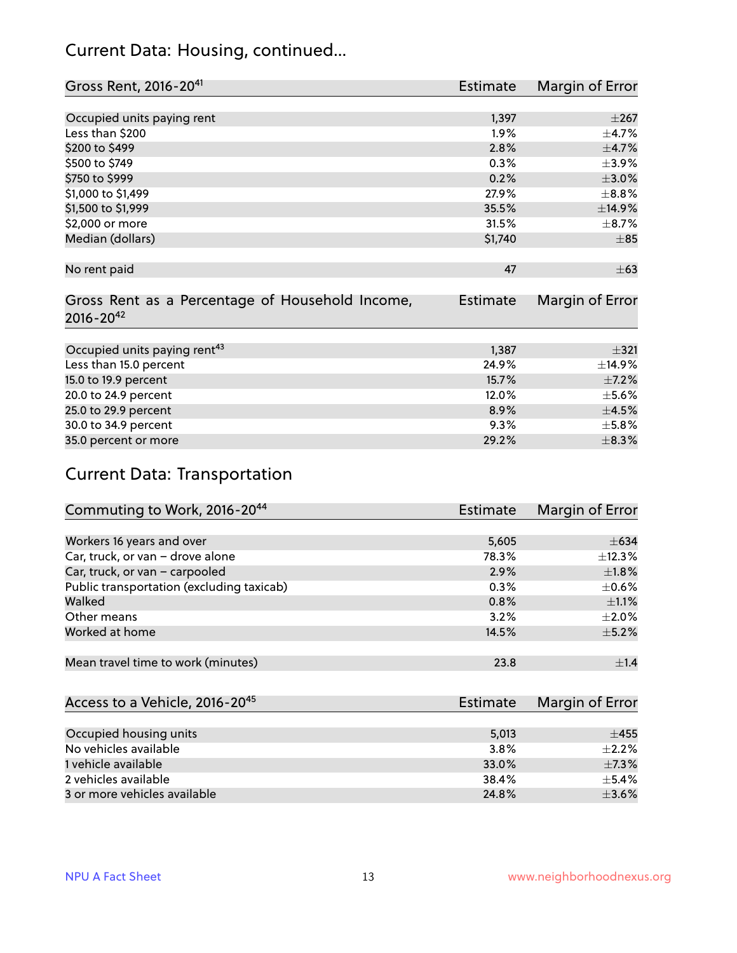#### Current Data: Housing, continued...

| Gross Rent, 2016-20 <sup>41</sup>               | Estimate        | Margin of Error |
|-------------------------------------------------|-----------------|-----------------|
|                                                 |                 |                 |
| Occupied units paying rent                      | 1,397           | $\pm 267$       |
| Less than \$200                                 | 1.9%            | $\pm$ 4.7%      |
| \$200 to \$499                                  | 2.8%            | $\pm$ 4.7%      |
| \$500 to \$749                                  | 0.3%            | $\pm$ 3.9%      |
| \$750 to \$999                                  | 0.2%            | $\pm 3.0\%$     |
| \$1,000 to \$1,499                              | 27.9%           | $\pm$ 8.8%      |
| \$1,500 to \$1,999                              | 35.5%           | ±14.9%          |
| \$2,000 or more                                 | 31.5%           | $\pm$ 8.7%      |
| Median (dollars)                                | \$1,740         | $\pm$ 85        |
|                                                 |                 |                 |
| No rent paid                                    | 47              | $\pm 63$        |
|                                                 |                 |                 |
| Gross Rent as a Percentage of Household Income, | <b>Estimate</b> | Margin of Error |
| $2016 - 20^{42}$                                |                 |                 |
|                                                 |                 |                 |
| Occupied units paying rent <sup>43</sup>        | 1,387           | $\pm$ 321       |
| Less than 15.0 percent                          | 24.9%           | ±14.9%          |
| 15.0 to 19.9 percent                            | 15.7%           | $\pm$ 7.2%      |
| 20.0 to 24.9 percent                            | 12.0%           | $\pm$ 5.6%      |
| 25.0 to 29.9 percent                            | 8.9%            | $\pm 4.5\%$     |
| 30.0 to 34.9 percent                            | 9.3%            | $\pm$ 5.8%      |
| 35.0 percent or more                            | 29.2%           | $\pm$ 8.3%      |

## Current Data: Transportation

| Commuting to Work, 2016-20 <sup>44</sup>  | <b>Estimate</b> | Margin of Error |
|-------------------------------------------|-----------------|-----------------|
|                                           |                 |                 |
| Workers 16 years and over                 | 5,605           | $\pm 634$       |
| Car, truck, or van - drove alone          | 78.3%           | $\pm$ 12.3%     |
| Car, truck, or van - carpooled            | 2.9%            | $\pm1.8\%$      |
| Public transportation (excluding taxicab) | 0.3%            | $\pm$ 0.6%      |
| Walked                                    | 0.8%            | $\pm 1.1\%$     |
| Other means                               | 3.2%            | $\pm 2.0\%$     |
| Worked at home                            | 14.5%           | $\pm$ 5.2%      |
|                                           |                 |                 |
| Mean travel time to work (minutes)        | 23.8            | $\pm 1.4$       |

| Access to a Vehicle, 2016-20 <sup>45</sup> | Estimate | Margin of Error |
|--------------------------------------------|----------|-----------------|
|                                            |          |                 |
| Occupied housing units                     | 5,013    | $\pm 455$       |
| No vehicles available                      | 3.8%     | $+2.2%$         |
| 1 vehicle available                        | 33.0%    | $\pm$ 7.3%      |
| 2 vehicles available                       | 38.4%    | $\pm$ 5.4%      |
| 3 or more vehicles available               | 24.8%    | $\pm$ 3.6%      |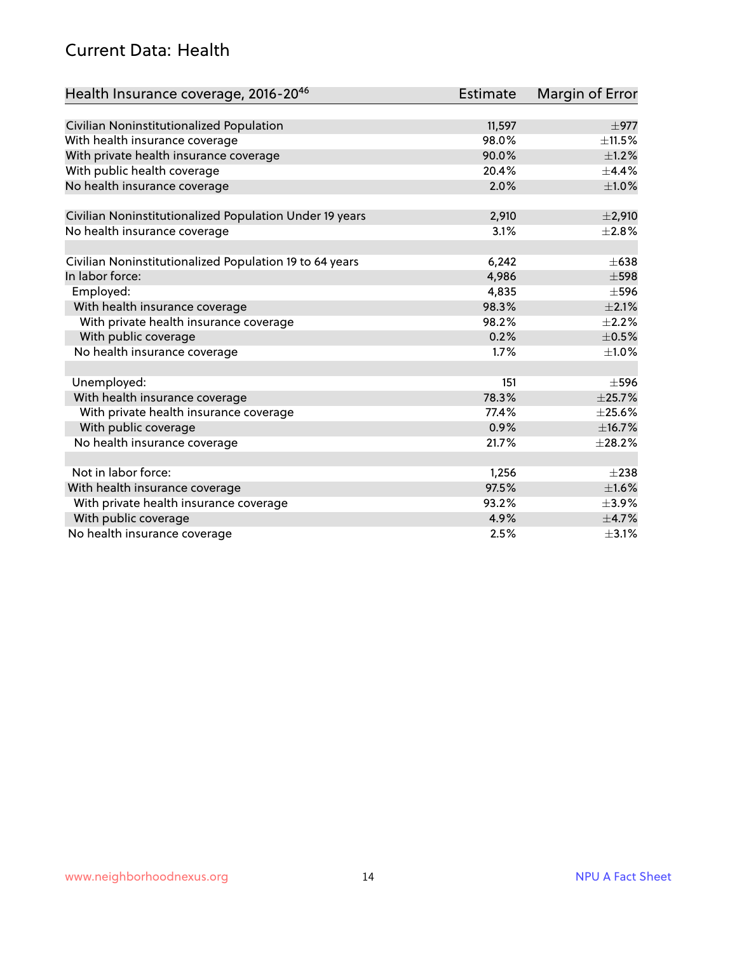#### Current Data: Health

| Health Insurance coverage, 2016-2046                    | Estimate | Margin of Error |
|---------------------------------------------------------|----------|-----------------|
|                                                         |          |                 |
| Civilian Noninstitutionalized Population                | 11,597   | $\pm$ 977       |
| With health insurance coverage                          | 98.0%    | $\pm$ 11.5%     |
| With private health insurance coverage                  | 90.0%    | $\pm$ 1.2%      |
| With public health coverage                             | 20.4%    | $\pm$ 4.4%      |
| No health insurance coverage                            | 2.0%     | $\pm1.0\%$      |
| Civilian Noninstitutionalized Population Under 19 years | 2,910    | ±2,910          |
| No health insurance coverage                            | 3.1%     | ±2.8%           |
|                                                         |          |                 |
| Civilian Noninstitutionalized Population 19 to 64 years | 6,242    | $\pm 638$       |
| In labor force:                                         | 4,986    | $\pm$ 598       |
| Employed:                                               | 4,835    | $\pm$ 596       |
| With health insurance coverage                          | 98.3%    | $\pm 2.1\%$     |
| With private health insurance coverage                  | 98.2%    | $\pm 2.2\%$     |
| With public coverage                                    | 0.2%     | $\pm$ 0.5%      |
| No health insurance coverage                            | 1.7%     | $\pm1.0\%$      |
| Unemployed:                                             | 151      | $\pm$ 596       |
| With health insurance coverage                          | 78.3%    | ±25.7%          |
| With private health insurance coverage                  | 77.4%    | $\pm 25.6\%$    |
| With public coverage                                    | 0.9%     | ±16.7%          |
| No health insurance coverage                            | 21.7%    | $\pm 28.2\%$    |
| Not in labor force:                                     |          | $\pm 238$       |
|                                                         | 1,256    |                 |
| With health insurance coverage                          | 97.5%    | $\pm1.6\%$      |
| With private health insurance coverage                  | 93.2%    | $\pm$ 3.9%      |
| With public coverage                                    | 4.9%     | $\pm$ 4.7%      |
| No health insurance coverage                            | 2.5%     | $\pm$ 3.1%      |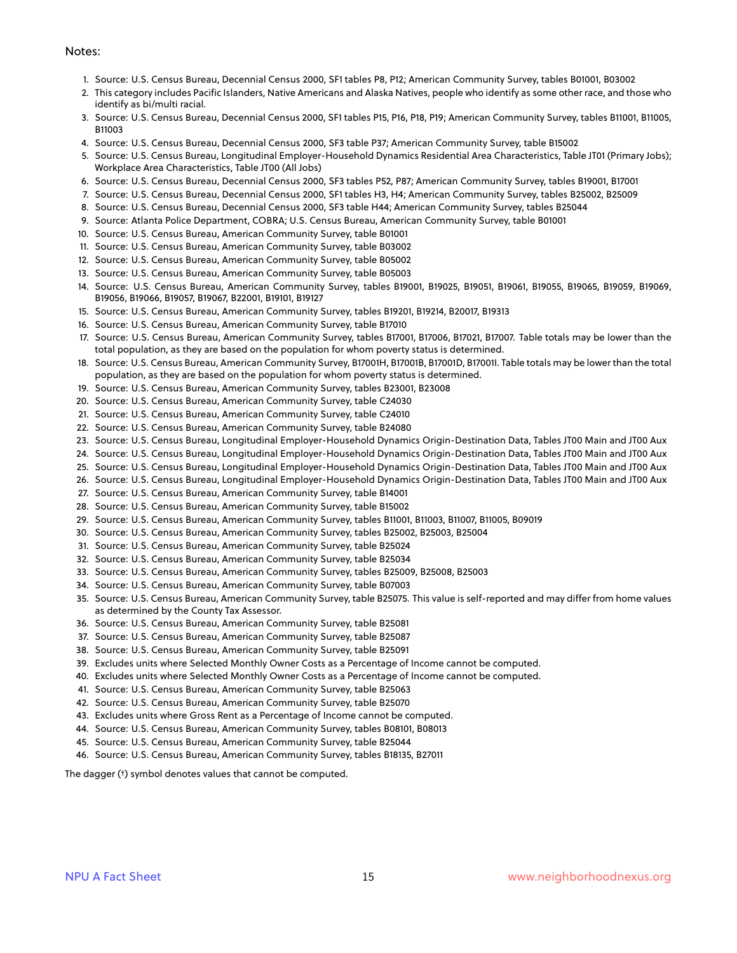#### Notes:

- 1. Source: U.S. Census Bureau, Decennial Census 2000, SF1 tables P8, P12; American Community Survey, tables B01001, B03002
- 2. This category includes Pacific Islanders, Native Americans and Alaska Natives, people who identify as some other race, and those who identify as bi/multi racial.
- 3. Source: U.S. Census Bureau, Decennial Census 2000, SF1 tables P15, P16, P18, P19; American Community Survey, tables B11001, B11005, B11003
- 4. Source: U.S. Census Bureau, Decennial Census 2000, SF3 table P37; American Community Survey, table B15002
- 5. Source: U.S. Census Bureau, Longitudinal Employer-Household Dynamics Residential Area Characteristics, Table JT01 (Primary Jobs); Workplace Area Characteristics, Table JT00 (All Jobs)
- 6. Source: U.S. Census Bureau, Decennial Census 2000, SF3 tables P52, P87; American Community Survey, tables B19001, B17001
- 7. Source: U.S. Census Bureau, Decennial Census 2000, SF1 tables H3, H4; American Community Survey, tables B25002, B25009
- 8. Source: U.S. Census Bureau, Decennial Census 2000, SF3 table H44; American Community Survey, tables B25044
- 9. Source: Atlanta Police Department, COBRA; U.S. Census Bureau, American Community Survey, table B01001
- 10. Source: U.S. Census Bureau, American Community Survey, table B01001
- 11. Source: U.S. Census Bureau, American Community Survey, table B03002
- 12. Source: U.S. Census Bureau, American Community Survey, table B05002
- 13. Source: U.S. Census Bureau, American Community Survey, table B05003
- 14. Source: U.S. Census Bureau, American Community Survey, tables B19001, B19025, B19051, B19061, B19055, B19065, B19059, B19069, B19056, B19066, B19057, B19067, B22001, B19101, B19127
- 15. Source: U.S. Census Bureau, American Community Survey, tables B19201, B19214, B20017, B19313
- 16. Source: U.S. Census Bureau, American Community Survey, table B17010
- 17. Source: U.S. Census Bureau, American Community Survey, tables B17001, B17006, B17021, B17007. Table totals may be lower than the total population, as they are based on the population for whom poverty status is determined.
- 18. Source: U.S. Census Bureau, American Community Survey, B17001H, B17001B, B17001D, B17001I. Table totals may be lower than the total population, as they are based on the population for whom poverty status is determined.
- 19. Source: U.S. Census Bureau, American Community Survey, tables B23001, B23008
- 20. Source: U.S. Census Bureau, American Community Survey, table C24030
- 21. Source: U.S. Census Bureau, American Community Survey, table C24010
- 22. Source: U.S. Census Bureau, American Community Survey, table B24080
- 23. Source: U.S. Census Bureau, Longitudinal Employer-Household Dynamics Origin-Destination Data, Tables JT00 Main and JT00 Aux
- 24. Source: U.S. Census Bureau, Longitudinal Employer-Household Dynamics Origin-Destination Data, Tables JT00 Main and JT00 Aux
- 25. Source: U.S. Census Bureau, Longitudinal Employer-Household Dynamics Origin-Destination Data, Tables JT00 Main and JT00 Aux
- 26. Source: U.S. Census Bureau, Longitudinal Employer-Household Dynamics Origin-Destination Data, Tables JT00 Main and JT00 Aux
- 27. Source: U.S. Census Bureau, American Community Survey, table B14001
- 28. Source: U.S. Census Bureau, American Community Survey, table B15002
- 29. Source: U.S. Census Bureau, American Community Survey, tables B11001, B11003, B11007, B11005, B09019
- 30. Source: U.S. Census Bureau, American Community Survey, tables B25002, B25003, B25004
- 31. Source: U.S. Census Bureau, American Community Survey, table B25024
- 32. Source: U.S. Census Bureau, American Community Survey, table B25034
- 33. Source: U.S. Census Bureau, American Community Survey, tables B25009, B25008, B25003
- 34. Source: U.S. Census Bureau, American Community Survey, table B07003
- 35. Source: U.S. Census Bureau, American Community Survey, table B25075. This value is self-reported and may differ from home values as determined by the County Tax Assessor.
- 36. Source: U.S. Census Bureau, American Community Survey, table B25081
- 37. Source: U.S. Census Bureau, American Community Survey, table B25087
- 38. Source: U.S. Census Bureau, American Community Survey, table B25091
- 39. Excludes units where Selected Monthly Owner Costs as a Percentage of Income cannot be computed.
- 40. Excludes units where Selected Monthly Owner Costs as a Percentage of Income cannot be computed.
- 41. Source: U.S. Census Bureau, American Community Survey, table B25063
- 42. Source: U.S. Census Bureau, American Community Survey, table B25070
- 43. Excludes units where Gross Rent as a Percentage of Income cannot be computed.
- 44. Source: U.S. Census Bureau, American Community Survey, tables B08101, B08013
- 45. Source: U.S. Census Bureau, American Community Survey, table B25044
- 46. Source: U.S. Census Bureau, American Community Survey, tables B18135, B27011

The dagger (†) symbol denotes values that cannot be computed.